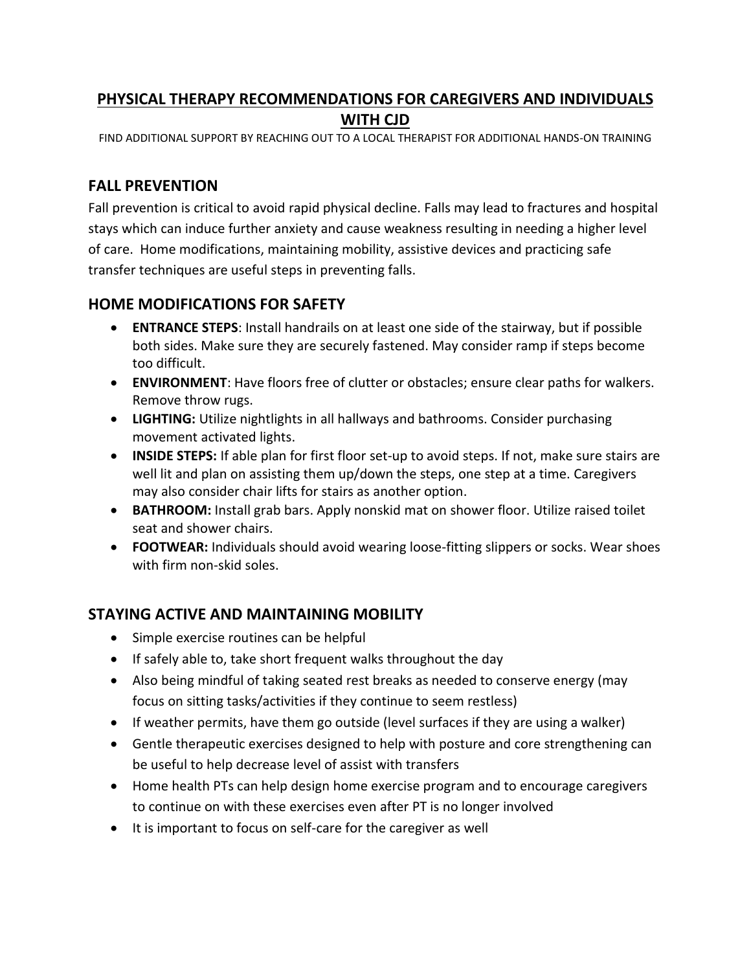# **PHYSICAL THERAPY RECOMMENDATIONS FOR CAREGIVERS AND INDIVIDUALS WITH CJD**

FIND ADDITIONAL SUPPORT BY REACHING OUT TO A LOCAL THERAPIST FOR ADDITIONAL HANDS-ON TRAINING

### **FALL PREVENTION**

Fall prevention is critical to avoid rapid physical decline. Falls may lead to fractures and hospital stays which can induce further anxiety and cause weakness resulting in needing a higher level of care. Home modifications, maintaining mobility, assistive devices and practicing safe transfer techniques are useful steps in preventing falls.

## **HOME MODIFICATIONS FOR SAFETY**

- **ENTRANCE STEPS**: Install handrails on at least one side of the stairway, but if possible both sides. Make sure they are securely fastened. May consider ramp if steps become too difficult.
- **ENVIRONMENT**: Have floors free of clutter or obstacles; ensure clear paths for walkers. Remove throw rugs.
- **LIGHTING:** Utilize nightlights in all hallways and bathrooms. Consider purchasing movement activated lights.
- **INSIDE STEPS:** If able plan for first floor set-up to avoid steps. If not, make sure stairs are well lit and plan on assisting them up/down the steps, one step at a time. Caregivers may also consider chair lifts for stairs as another option.
- **BATHROOM:** Install grab bars. Apply nonskid mat on shower floor. Utilize raised toilet seat and shower chairs.
- **FOOTWEAR:** Individuals should avoid wearing loose-fitting slippers or socks. Wear shoes with firm non-skid soles.

# **STAYING ACTIVE AND MAINTAINING MOBILITY**

- Simple exercise routines can be helpful
- If safely able to, take short frequent walks throughout the day
- Also being mindful of taking seated rest breaks as needed to conserve energy (may focus on sitting tasks/activities if they continue to seem restless)
- If weather permits, have them go outside (level surfaces if they are using a walker)
- Gentle therapeutic exercises designed to help with posture and core strengthening can be useful to help decrease level of assist with transfers
- Home health PTs can help design home exercise program and to encourage caregivers to continue on with these exercises even after PT is no longer involved
- It is important to focus on self-care for the caregiver as well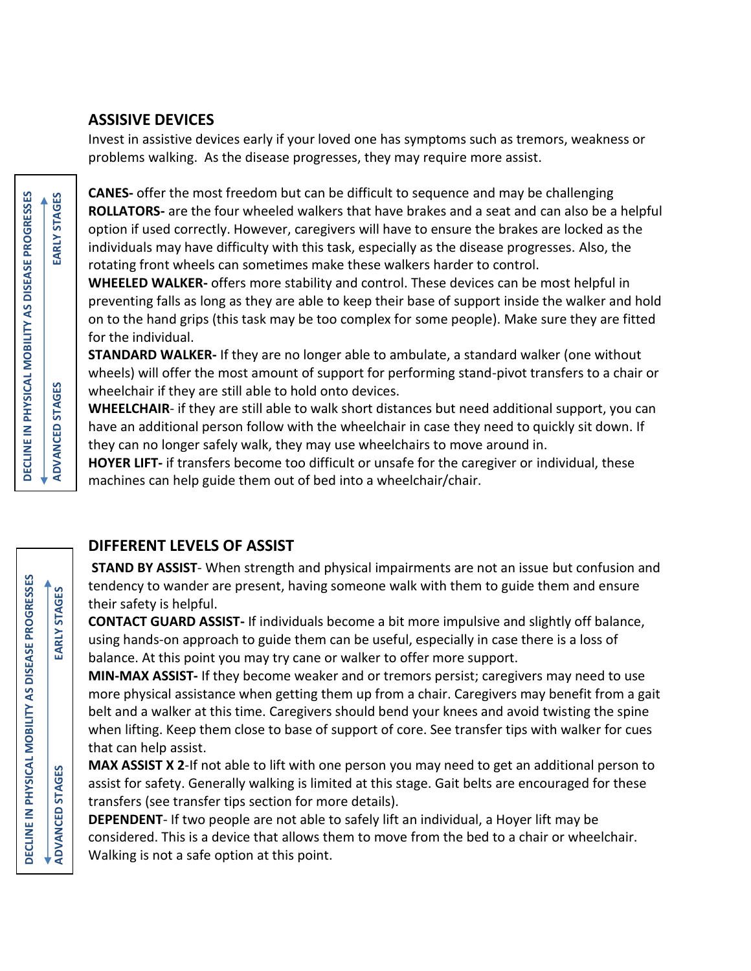## **ASSISIVE DEVICES**

Invest in assistive devices early if your loved one has symptoms such as tremors, weakness or problems walking. As the disease progresses, they may require more assist.

**CANES-** offer the most freedom but can be difficult to sequence and may be challenging **ROLLATORS-** are the four wheeled walkers that have brakes and a seat and can also be a helpful option if used correctly. However, caregivers will have to ensure the brakes are locked as the individuals may have difficulty with this task, especially as the disease progresses. Also, the rotating front wheels can sometimes make these walkers harder to control.

**WHEELED WALKER-** offers more stability and control. These devices can be most helpful in preventing falls as long as they are able to keep their base of support inside the walker and hold on to the hand grips (this task may be too complex for some people). Make sure they are fitted for the individual.

**STANDARD WALKER-** If they are no longer able to ambulate, a standard walker (one without wheels) will offer the most amount of support for performing stand-pivot transfers to a chair or wheelchair if they are still able to hold onto devices.

**WHEELCHAIR**- if they are still able to walk short distances but need additional support, you can have an additional person follow with the wheelchair in case they need to quickly sit down. If they can no longer safely walk, they may use wheelchairs to move around in.

**HOYER LIFT-** if transfers become too difficult or unsafe for the caregiver or individual, these machines can help guide them out of bed into a wheelchair/chair.

# **DIFFERENT LEVELS OF ASSIST**

**STAND BY ASSIST**- When strength and physical impairments are not an issue but confusion and tendency to wander are present, having someone walk with them to guide them and ensure their safety is helpful.

**CONTACT GUARD ASSIST-** If individuals become a bit more impulsive and slightly off balance, using hands-on approach to guide them can be useful, especially in case there is a loss of balance. At this point you may try cane or walker to offer more support.

**MIN-MAX ASSIST-** If they become weaker and or tremors persist; caregivers may need to use more physical assistance when getting them up from a chair. Caregivers may benefit from a gait belt and a walker at this time. Caregivers should bend your knees and avoid twisting the spine when lifting. Keep them close to base of support of core. See transfer tips with walker for cues that can help assist.

**MAX ASSIST X 2**-If not able to lift with one person you may need to get an additional person to assist for safety. Generally walking is limited at this stage. Gait belts are encouraged for these transfers (see transfer tips section for more details).

**DEPENDENT**- If two people are not able to safely lift an individual, a Hoyer lift may be considered. This is a device that allows them to move from the bed to a chair or wheelchair. Walking is not a safe option at this point.

**DECLINE IN PHYSICAL MOBILITY AS DISEASE PROGRESSES**

DECLINE IN PHYSICAL MOBILITY AS DISEASE PROGRESSES

**ADVANCED STAGES EARLY STAGES**

**ADVANCED STAGES** 

EARLY STAGES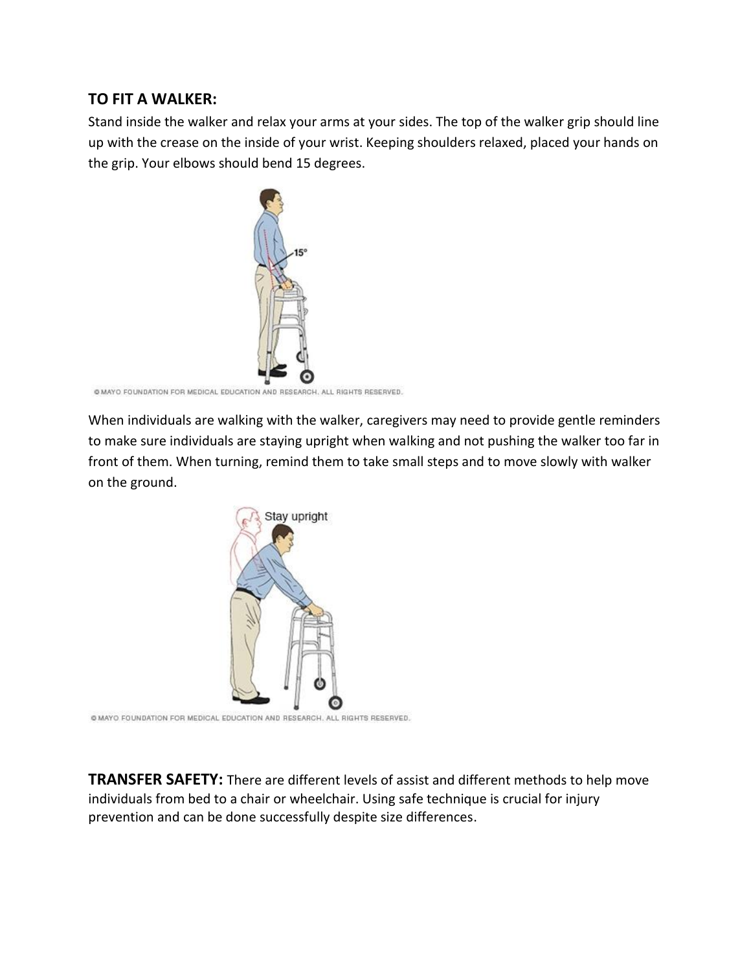# **TO FIT A WALKER:**

Stand inside the walker and relax your arms at your sides. The top of the walker grip should line up with the crease on the inside of your wrist. Keeping shoulders relaxed, placed your hands on the grip. Your elbows should bend 15 degrees.



```
@ MAYO FOUNDATION FOR MEDICAL EDUCATION AND RESEARCH, ALL RIGHTS RESERVED.
```
When individuals are walking with the walker, caregivers may need to provide gentle reminders to make sure individuals are staying upright when walking and not pushing the walker too far in front of them. When turning, remind them to take small steps and to move slowly with walker on the ground.



@ MAYO FOUNDATION FOR MEDICAL EDUCATION AND RESEARCH, ALL RIGHTS RESERVED.

**TRANSFER SAFETY:** There are different levels of assist and different methods to help move individuals from bed to a chair or wheelchair. Using safe technique is crucial for injury prevention and can be done successfully despite size differences.